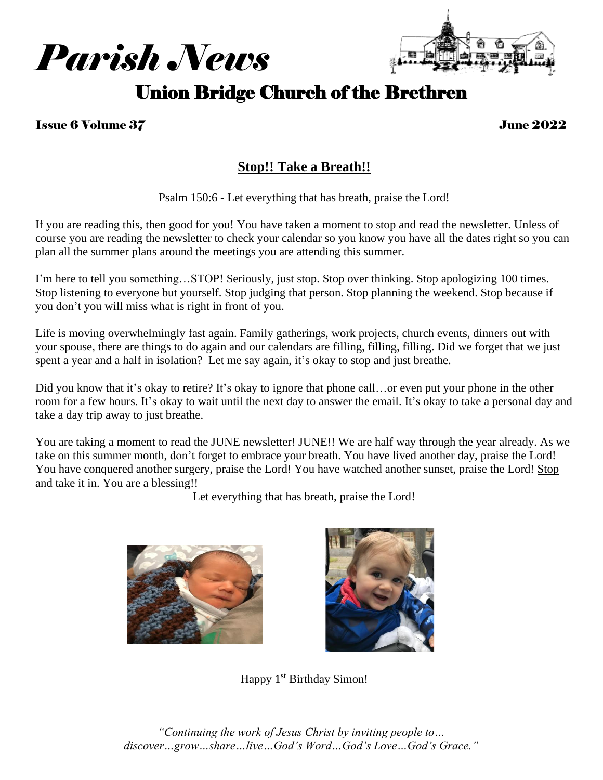



# Union Bridge Church of the Brethren

# **Stop!! Take a Breath!!**

Psalm 150:6 - Let everything that has breath, praise the Lord!

If you are reading this, then good for you! You have taken a moment to stop and read the newsletter. Unless of course you are reading the newsletter to check your calendar so you know you have all the dates right so you can plan all the summer plans around the meetings you are attending this summer.

I'm here to tell you something…STOP! Seriously, just stop. Stop over thinking. Stop apologizing 100 times. Stop listening to everyone but yourself. Stop judging that person. Stop planning the weekend. Stop because if you don't you will miss what is right in front of you.

Life is moving overwhelmingly fast again. Family gatherings, work projects, church events, dinners out with your spouse, there are things to do again and our calendars are filling, filling, filling. Did we forget that we just spent a year and a half in isolation? Let me say again, it's okay to stop and just breathe.

Did you know that it's okay to retire? It's okay to ignore that phone call...or even put your phone in the other room for a few hours. It's okay to wait until the next day to answer the email. It's okay to take a personal day and take a day trip away to just breathe.

You are taking a moment to read the JUNE newsletter! JUNE!! We are half way through the year already. As we take on this summer month, don't forget to embrace your breath. You have lived another day, praise the Lord! You have conquered another surgery, praise the Lord! You have watched another sunset, praise the Lord! Stop and take it in. You are a blessing!!

Let everything that has breath, praise the Lord!





Happy 1<sup>st</sup> Birthday Simon!

*"Continuing the work of Jesus Christ by inviting people to… discover…grow…share…live…God's Word…God's Love…God's Grace."*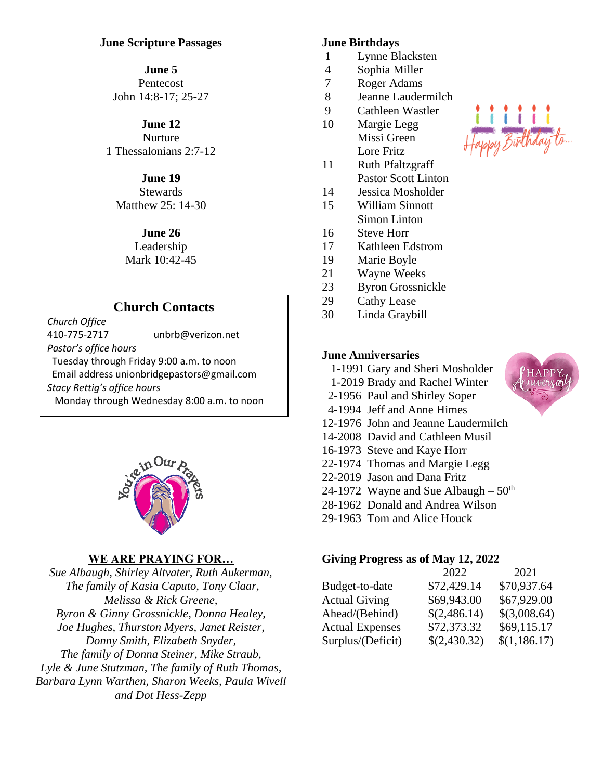### **June Scripture Passages**

#### **June 5**

Pentecost John 14:8-17; 25-27

#### **June 12**

Nurture 1 Thessalonians 2:7-12

# **June 19**

**Stewards** Matthew 25: 14-30

### **June 26**

Leadership Mark 10:42-45

# **Church Contacts**

*Church Office* 410-775-2717 [unbrb@verizon.net](mailto:unbrb@verizon.net) *Pastor's office hours*  Tuesday through Friday 9:00 a.m. to noon Email address unionbridgepastors@gmail.com *Stacy Rettig's office hours*  Monday through Wednesday 8:00 a.m. to noon



# **WE ARE PRAYING FOR…**

*Sue Albaugh, Shirley Altvater, Ruth Aukerman, The family of Kasia Caputo, Tony Claar, Melissa & Rick Greene, Byron & Ginny Grossnickle, Donna Healey, Joe Hughes, Thurston Myers, Janet Reister, Donny Smith, Elizabeth Snyder, The family of Donna Steiner, Mike Straub, Lyle & June Stutzman, The family of Ruth Thomas, Barbara Lynn Warthen, Sharon Weeks, Paula Wivell and Dot Hess-Zepp*

#### **June Birthdays**

- 1 Lynne Blacksten
- 4 Sophia Miller
- 7 Roger Adams
- 8 Jeanne Laudermilch
- 9 Cathleen Wastler
- 10 Margie Legg Missi Green Lore Fritz
- 11 Ruth Pfaltzgraff Pastor Scott Linton
- 14 Jessica Mosholder
- 15 William Sinnott Simon Linton
- 16 Steve Horr
- 17 Kathleen Edstrom
- 19 Marie Boyle
- 21 Wayne Weeks
- 23 Byron Grossnickle
- 29 Cathy Lease
- 30 Linda Graybill

# **June Anniversaries**

- 1-1991 Gary and Sheri Mosholder
- 1-2019 Brady and Rachel Winter
- 2-1956 Paul and Shirley Soper
- 4-1994 Jeff and Anne Himes
- 12-1976 John and Jeanne Laudermilch
- 14-2008 David and Cathleen Musil
- 16-1973 Steve and Kaye Horr
- 22-1974 Thomas and Margie Legg
- 22-2019 Jason and Dana Fritz
- 24-1972 Wayne and Sue Albaugh  $50<sup>th</sup>$
- 28-1962 Donald and Andrea Wilson
- 29-1963 Tom and Alice Houck

#### **Giving Progress as of May 12, 2022**

|                        | 2022         | 2021         |
|------------------------|--------------|--------------|
| Budget-to-date         | \$72,429.14  | \$70,937.64  |
| <b>Actual Giving</b>   | \$69,943.00  | \$67,929.00  |
| Ahead/(Behind)         | \$(2,486.14) | \$(3,008.64) |
| <b>Actual Expenses</b> | \$72,373.32  | \$69,115.17  |
| Surplus/(Deficit)      | \$(2,430.32) | \$(1,186.17) |



py Birthday to.